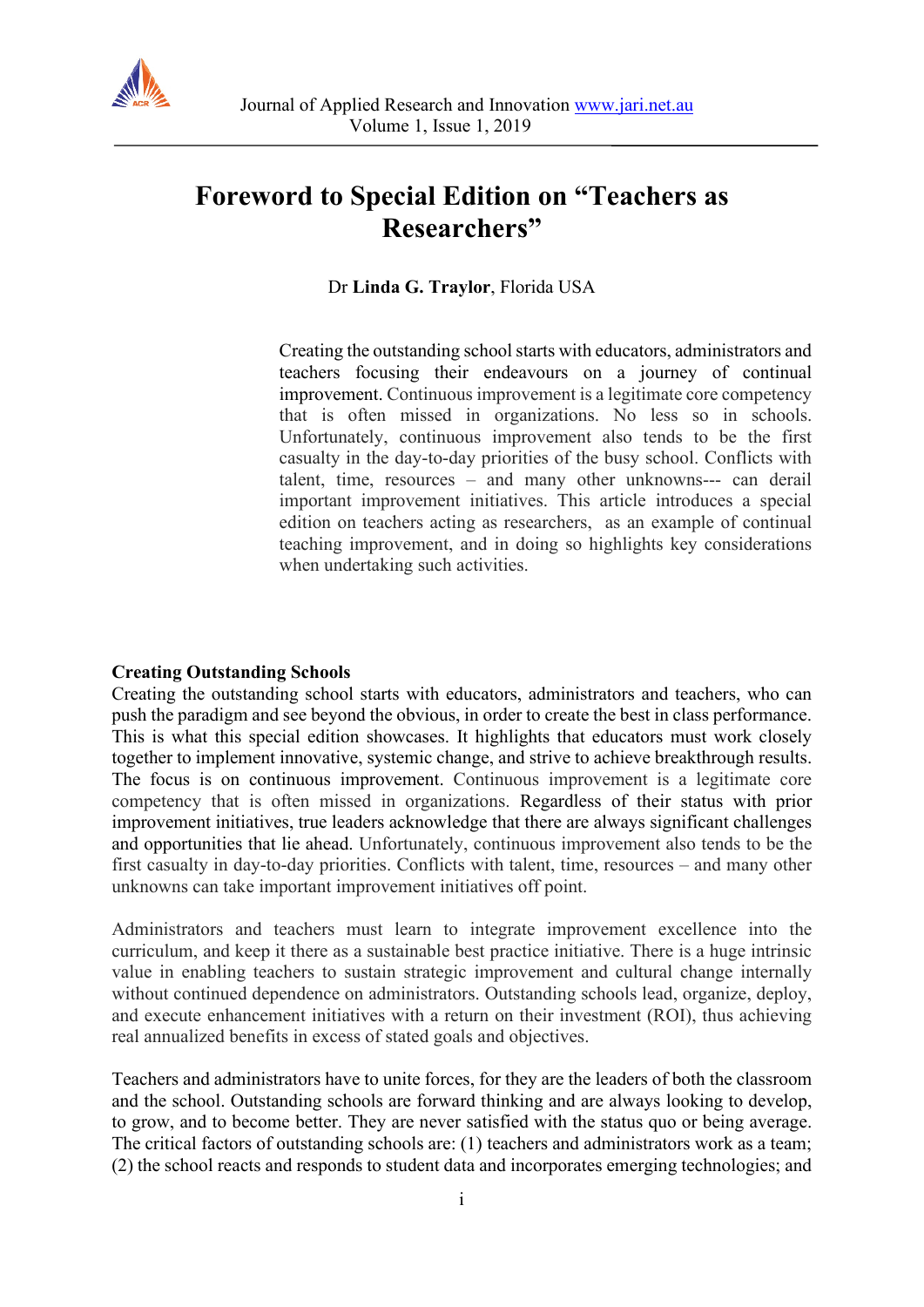

## **Foreword to Special Edition on "Teachers as Researchers"**

Dr **Linda G. Traylor**, Florida USA

Creating the outstanding school starts with educators, administrators and teachers focusing their endeavours on a journey of continual improvement. Continuous improvement is a legitimate core competency that is often missed in organizations. No less so in schools. Unfortunately, continuous improvement also tends to be the first casualty in the day-to-day priorities of the busy school. Conflicts with talent, time, resources – and many other unknowns--- can derail important improvement initiatives. This article introduces a special edition on teachers acting as researchers, as an example of continual teaching improvement, and in doing so highlights key considerations when undertaking such activities.

## **Creating Outstanding Schools**

Creating the outstanding school starts with educators, administrators and teachers, who can push the paradigm and see beyond the obvious, in order to create the best in class performance. This is what this special edition showcases. It highlights that educators must work closely together to implement innovative, systemic change, and strive to achieve breakthrough results. The focus is on continuous improvement. Continuous improvement is a legitimate core competency that is often missed in organizations. Regardless of their status with prior improvement initiatives, true leaders acknowledge that there are always significant challenges and opportunities that lie ahead. Unfortunately, continuous improvement also tends to be the first casualty in day-to-day priorities. Conflicts with talent, time, resources – and many other unknowns can take important improvement initiatives off point.

Administrators and teachers must learn to integrate improvement excellence into the curriculum, and keep it there as a sustainable best practice initiative. There is a huge intrinsic value in enabling teachers to sustain strategic improvement and cultural change internally without continued dependence on administrators. Outstanding schools lead, organize, deploy, and execute enhancement initiatives with a return on their investment (ROI), thus achieving real annualized benefits in excess of stated goals and objectives.

Teachers and administrators have to unite forces, for they are the leaders of both the classroom and the school. Outstanding schools are forward thinking and are always looking to develop, to grow, and to become better. They are never satisfied with the status quo or being average. The critical factors of outstanding schools are: (1) teachers and administrators work as a team; (2) the school reacts and responds to student data and incorporates emerging technologies; and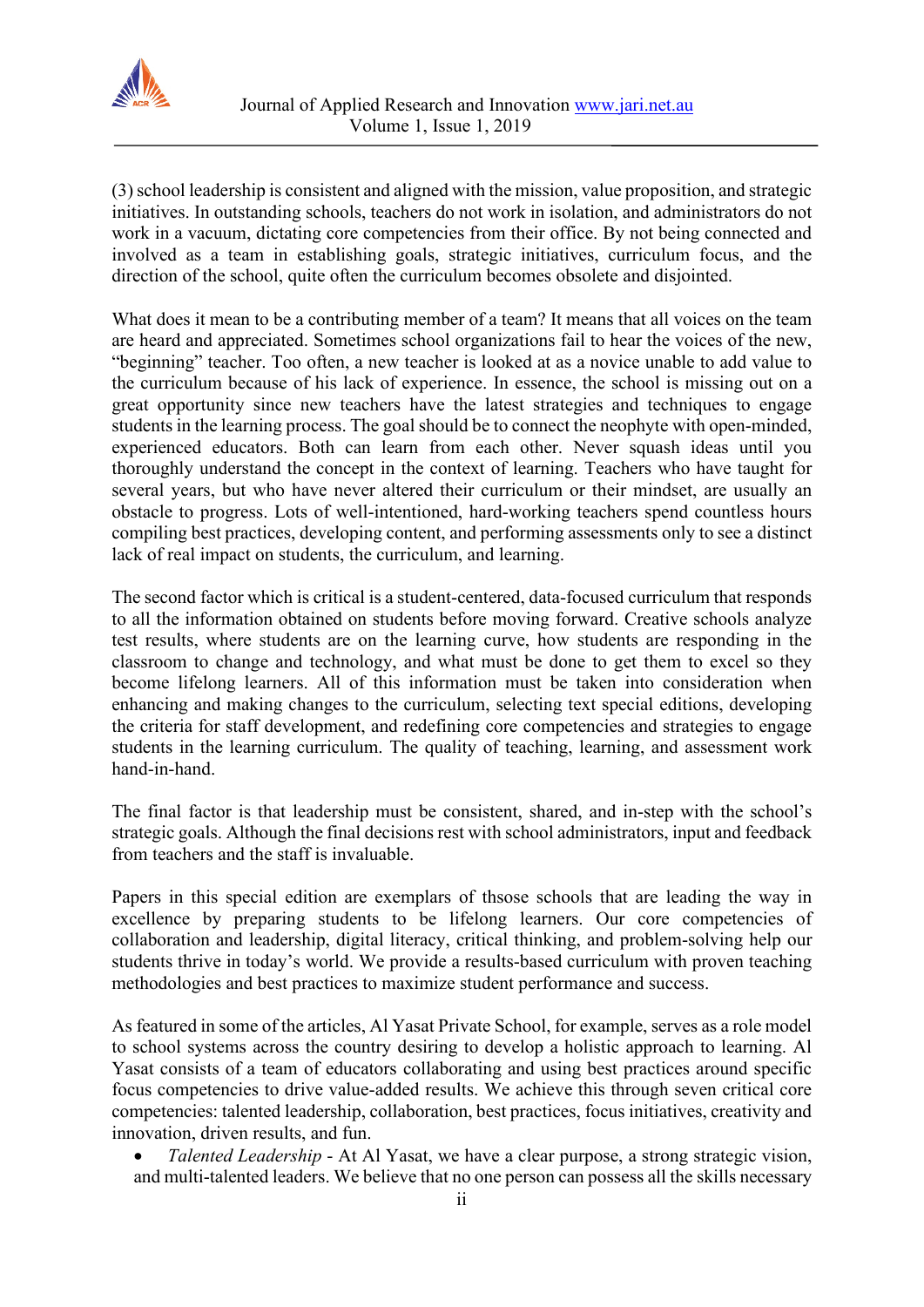

(3) school leadership is consistent and aligned with the mission, value proposition, and strategic initiatives. In outstanding schools, teachers do not work in isolation, and administrators do not work in a vacuum, dictating core competencies from their office. By not being connected and involved as a team in establishing goals, strategic initiatives, curriculum focus, and the direction of the school, quite often the curriculum becomes obsolete and disjointed.

What does it mean to be a contributing member of a team? It means that all voices on the team are heard and appreciated. Sometimes school organizations fail to hear the voices of the new, "beginning" teacher. Too often, a new teacher is looked at as a novice unable to add value to the curriculum because of his lack of experience. In essence, the school is missing out on a great opportunity since new teachers have the latest strategies and techniques to engage students in the learning process. The goal should be to connect the neophyte with open-minded, experienced educators. Both can learn from each other. Never squash ideas until you thoroughly understand the concept in the context of learning. Teachers who have taught for several years, but who have never altered their curriculum or their mindset, are usually an obstacle to progress. Lots of well-intentioned, hard-working teachers spend countless hours compiling best practices, developing content, and performing assessments only to see a distinct lack of real impact on students, the curriculum, and learning.

The second factor which is critical is a student-centered, data-focused curriculum that responds to all the information obtained on students before moving forward. Creative schools analyze test results, where students are on the learning curve, how students are responding in the classroom to change and technology, and what must be done to get them to excel so they become lifelong learners. All of this information must be taken into consideration when enhancing and making changes to the curriculum, selecting text special editions, developing the criteria for staff development, and redefining core competencies and strategies to engage students in the learning curriculum. The quality of teaching, learning, and assessment work hand-in-hand.

The final factor is that leadership must be consistent, shared, and in-step with the school's strategic goals. Although the final decisions rest with school administrators, input and feedback from teachers and the staff is invaluable.

Papers in this special edition are exemplars of thsose schools that are leading the way in excellence by preparing students to be lifelong learners. Our core competencies of collaboration and leadership, digital literacy, critical thinking, and problem-solving help our students thrive in today's world. We provide a results-based curriculum with proven teaching methodologies and best practices to maximize student performance and success.

As featured in some of the articles, Al Yasat Private School, for example, serves as a role model to school systems across the country desiring to develop a holistic approach to learning. Al Yasat consists of a team of educators collaborating and using best practices around specific focus competencies to drive value-added results. We achieve this through seven critical core competencies: talented leadership, collaboration, best practices, focus initiatives, creativity and innovation, driven results, and fun.

• *Talented Leadership* - At Al Yasat, we have a clear purpose, a strong strategic vision, and multi-talented leaders. We believe that no one person can possess all the skills necessary